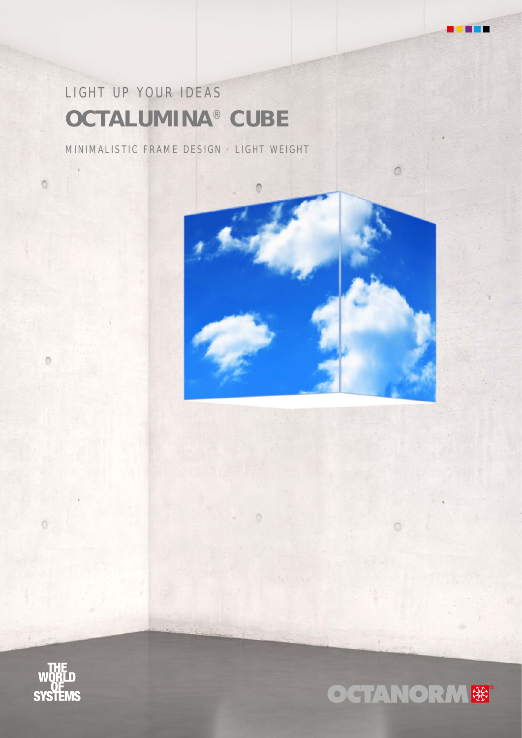# LIGHT UP YOUR IDEAS **OCTALUMINA** ® **CUBE**

MINIMALISTIC FRAME DESIGN · LIGHT WEIGHT



Ō



 $\circ$ 

 $\circ$